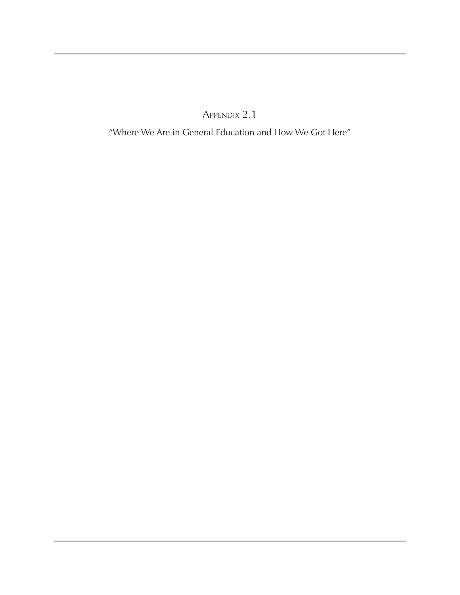Appendix 2.1

"Where We Are in General Education and How We Got Here"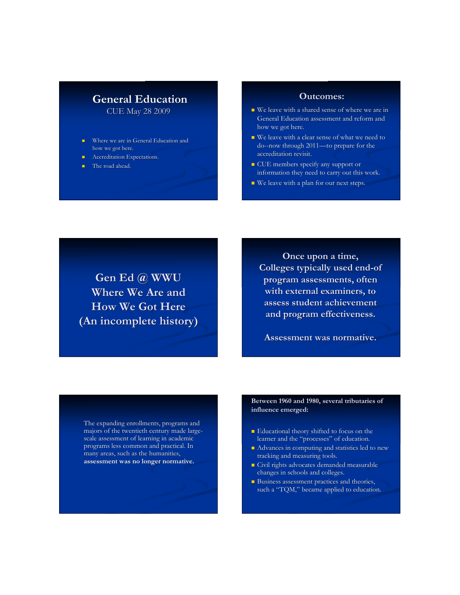# **General Education**

CUE May 28 2009

- Where we are in General Education and how we got here.
- Accreditation Expectations.
- The road ahead.

#### **Outcomes: Outcomes:**

- We leave with a shared sense of where we are in General Education assessment and reform and how we got here.
- We leave with a clear sense of what we need to do--now through 2011—to prepare for the accreditation revisit. accreditation revisit.
- **CUE** members specify any support or information they need to carry out this work.
- $\blacksquare$  We leave with a plan for our next steps.

**Gen Ed @ WWU Where We Are and How We Got Here (An incomplete history) incomplete history)**

**Once upon a time, Once upon a time, Colleges typically used end-of Colleges typically used end-of program assessments, often with external examiners, to with external examiners, to assess student achievement assess student achievement and program effectiveness. and program effectiveness.**

**Assessment was normative. Assessment was normative.**

The expanding enrollments, programs and majors of the twentieth century made largescale assessment of learning in academic programs less common and practical. In many areas, such as the humanities, **assessment was no longer normative. was no longer normative.**

#### **Between 1960 and 1980, several tributaries of influence emerged: influence emerged:**

- **Educational theory shifted to focus on the** learner and the "processes" of education.
- Advances in computing and statistics led to new tracking and measuring tools.
- Civil rights advocates demanded measurable changes in schools and colleges.
- $\blacksquare$  Business assessment practices and theories, such a "TQM," became applied to education.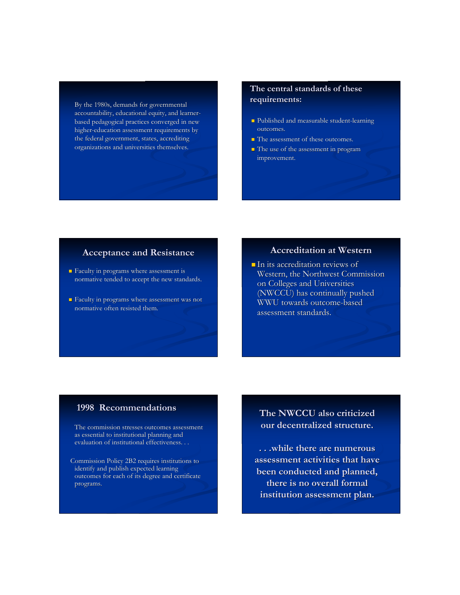By the 1980s, demands for governmental accountability, educational equity, and learnerbased pedagogical practices converged in new higher-education assessment requirements by the federal government, states, accrediting organizations and universities themselves.

# **The central standards of these of these requirements: requirements:**

- **Published and measurable student-learning** outcomes.
- The assessment of these outcomes.
- The use of the assessment in program improvement.

### **Acceptance and Resistance Acceptance and**

- **Faculty in programs where assessment is** normative tended to accept the new standards.
- **Faculty in programs where assessment was not** normative often resisted them.

### **Accreditation at Western**

 $\blacksquare$  In its accreditation reviews of Western, the Northwest Commission on Colleges and Universities (NWCCU) has continually pushed WWU towards outcome-based WWU towards outcome-based assessment standards.

## **1998 Recommendations 1998**

The commission stresses outcomes assessment as essential to institutional planning and evaluation of institutional effectiveness. . .

 Commission Policy 2B2 requires institutions to identify and publish expected learning outcomes for each of its degree and certificate programs. programs.

# **The NWCCU also criticized our decentralized structure. our decentralized structure.**

**. . .while there are numerous . . .while assessment activities that have assessment activities that have been conducted and planned, been conducted and planned, there is no overall formal there is no overall formal institution assessment plan. institution assessment plan.**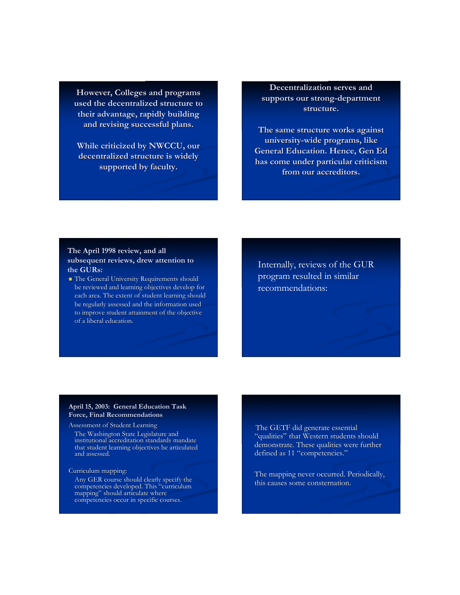**However, Colleges and programs However, Colleges and programs used the decentralized structure to used the decentralized structure to their advantage, rapidly building and revising successful plans. and revising successful plans.**

**While criticized by NWCCU, our decentralized structure is widely decentralized structure is widely supported by faculty. supported by faculty.**

# **Decentralization serves and supports our strong-department supports our strong-department structure. structure.**

**The same structure works against The same structure works against university-wide programs, like university-wide programs, like General Education. Hence, Gen Ed has come under particular criticism from our accreditors.** 

#### **The April 1998 review, and all The April 1998 review, and all subsequent reviews, drew attention to the GURs: the GURs:**

**The General University Requirements should** be reviewed and learning objectives develop for each area. The extent of student learning should be regularly assessed and the information used to improve student attainment of the objective of a liberal education.

Internally, reviews of the GUR program resulted in similar recommendations:

#### **April 15, 2003: General Education Task Force, Final Recommendations**

Assessment of Student Learning The Washington State Legislature and institutional accreditation standards mandate that student learning objectives be articulated and assessed.

Curriculum mapping: Curriculum

Any GER course should clearly specify the competencies developed. This "curriculum mapping" should articulate where competencies occur in specific courses.

The GETF did generate essential "qualities" that Western students should demonstrate. These qualities were further defined as 11 "competencies."

The mapping never occurred. Periodically, this causes some consternation.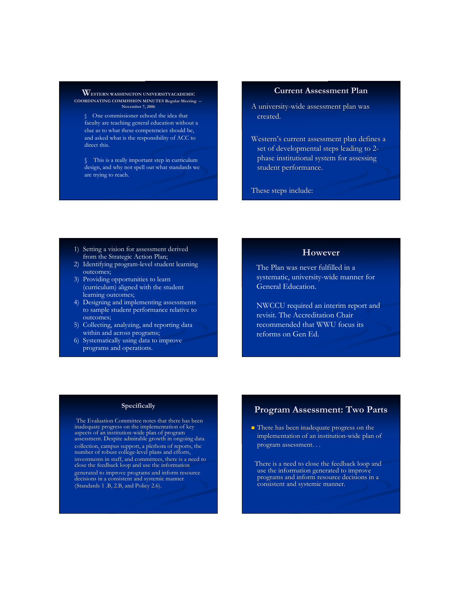**WESTERN WASHINGTON UNIVERSITYACADEMIC COORDINATING COMMISSION MINUTES Regular Meeting -- November 7, 2006**

§ One commissioner echoed the idea that faculty are teaching general education without a clue as to what these competencies should be, and asked what is the responsibility of ACC to direct this.

§ This is a really important step in curriculum design, and why not spell out what standards we are trying to reach.

#### **Current Assessment Plan**

- A university-wide assessment plan was created.
- Western's current assessment plan defines a set of developmental steps leading to 2 phase institutional system for assessing student performance.

These steps include:

- 1) Setting a vision for assessment derived from the Strategic Action Plan;
- 2) Identifying program-level student learning outcomes;
- 3) Providing opportunities to learn (curriculum) aligned with the student learning outcomes;
- 4) Designing and implementing assessments to sample student performance relative to outcomes;
- 5) Collecting, analyzing, and reporting data within and across programs;
- 6) Systematically using data to improve programs and operations.

# **However However**

The Plan was never fulfilled in a systematic, university-wide manner for General Education.

NWCCU required an interim report and revisit. The Accreditation Chair recommended that WWU focus its reforms on Gen Ed.

#### **Specifically**

 The Evaluation Committee notes that there has been inadequate progress on the implementation of key aspects of an institution-wide plan of program assessment. Despite admirable growth in ongoing data collection, campus support, a plethora of reports, the number of robust college-level plans and efforts, investments in staff, and committees, there is a need to close the feedback loop and use the information generated to improve programs and inform resource decisions in a consistent and systemic manner (Standards  $1$  .B,  $2.B$ , and Policy  $2.6$ ).

## **Program Assessment: Two Parts Program Assessment: Two Parts**

**There has been inadequate progress on the** implementation of an institution-wide plan of program assessment. . .

 There is a need to close the feedback loop and use the information generated to improve programs and inform resource decisions in a consistent and systemic manner.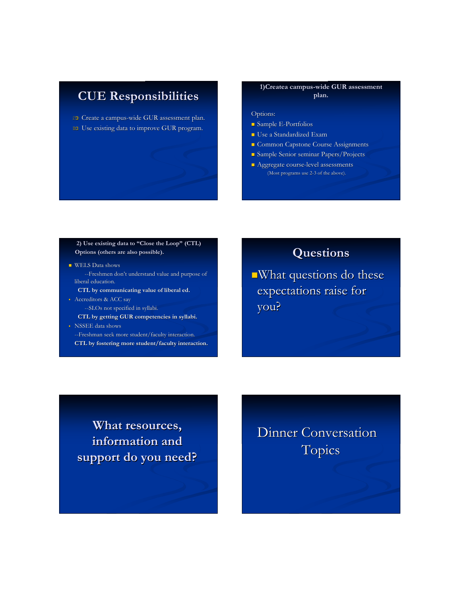# **CUE Responsibilities CUE Responsibilities**

 $\circledR$  Create a campus-wide GUR assessment plan. Use existing data to improve GUR program. Use existing data to improve GUR program.

#### **1)Createa campus-wide GUR assessment plan.**

#### Options: Options:

- Sample E-Portfolios
- Use a Standardized Exam
- **Common Capstone Course Assignments**
- Sample Senior seminar Papers/Projects
- **Aggregate course-level assessments** (Most programs use 2-3 of the above).

#### **2) Use existing data to 2) Use existing data to "Close the Loop" (CTL) Options (others are also possible).**

- WELS Data shows --Freshmen don't understand value and purpose of liberal education. **CTL by communicating value of liberal ed.**
- Accreditors & ACC say
	- --SLOs not specified in syllabi. --SLOs not specified in syllabi.
	- **CTL** by getting **GUR** competencies in syllabi.
- NSSEE data shows --Freshman seek more student/faculty interaction. CTL by fostering more student/faculty interaction.

# **Questions Questions**

 $\blacksquare$ What questions do these expectations raise for you?

**What resources, What resources, information and information and support do you need? support do you need?**

Dinner Conversation **Topics**